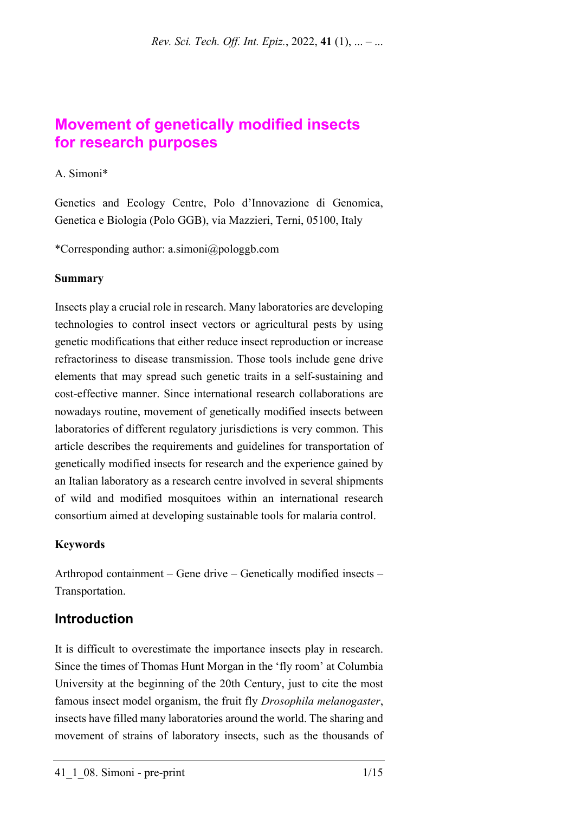# **Movement of genetically modified insects for research purposes**

#### A. Simoni\*

Genetics and Ecology Centre, Polo d'Innovazione di Genomica, Genetica e Biologia (Polo GGB), via Mazzieri, Terni, 05100, Italy

\*Corresponding author: a.simoni@pologgb.com

#### **Summary**

Insects play a crucial role in research. Many laboratories are developing technologies to control insect vectors or agricultural pests by using genetic modifications that either reduce insect reproduction or increase refractoriness to disease transmission. Those tools include gene drive elements that may spread such genetic traits in a self-sustaining and cost-effective manner. Since international research collaborations are nowadays routine, movement of genetically modified insects between laboratories of different regulatory jurisdictions is very common. This article describes the requirements and guidelines for transportation of genetically modified insects for research and the experience gained by an Italian laboratory as a research centre involved in several shipments of wild and modified mosquitoes within an international research consortium aimed at developing sustainable tools for malaria control.

#### **Keywords**

Arthropod containment – Gene drive – Genetically modified insects – Transportation.

## **Introduction**

It is difficult to overestimate the importance insects play in research. Since the times of Thomas Hunt Morgan in the 'fly room' at Columbia University at the beginning of the 20th Century, just to cite the most famous insect model organism, the fruit fly *Drosophila melanogaster*, insects have filled many laboratories around the world. The sharing and movement of strains of laboratory insects, such as the thousands of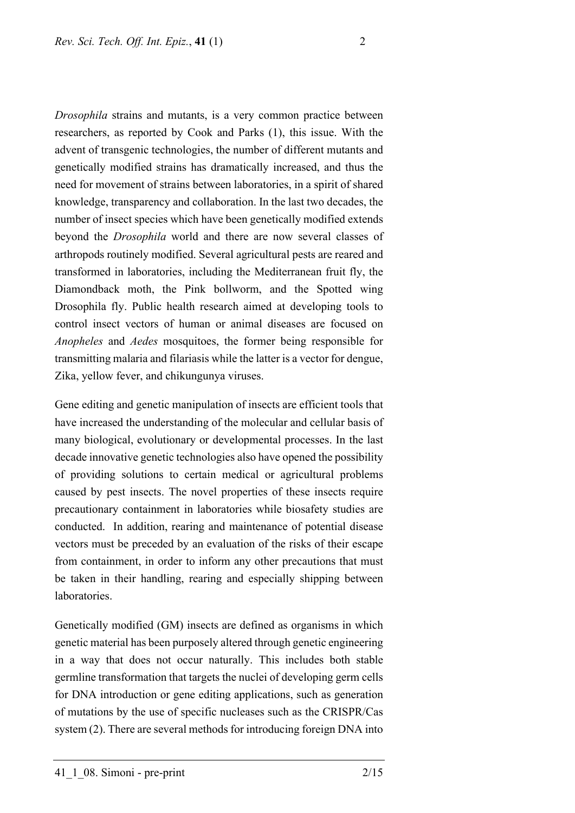*Drosophila* strains and mutants, is a very common practice between researchers, as reported by Cook and Parks (1), this issue. With the advent of transgenic technologies, the number of different mutants and genetically modified strains has dramatically increased, and thus the need for movement of strains between laboratories, in a spirit of shared knowledge, transparency and collaboration. In the last two decades, the number of insect species which have been genetically modified extends beyond the *Drosophila* world and there are now several classes of arthropods routinely modified. Several agricultural pests are reared and transformed in laboratories, including the Mediterranean fruit fly, the Diamondback moth, the Pink bollworm, and the Spotted wing Drosophila fly. Public health research aimed at developing tools to control insect vectors of human or animal diseases are focused on *Anopheles* and *Aedes* mosquitoes, the former being responsible for transmitting malaria and filariasis while the latter is a vector for dengue, Zika, yellow fever, and chikungunya viruses.

Gene editing and genetic manipulation of insects are efficient tools that have increased the understanding of the molecular and cellular basis of many biological, evolutionary or developmental processes. In the last decade innovative genetic technologies also have opened the possibility of providing solutions to certain medical or agricultural problems caused by pest insects. The novel properties of these insects require precautionary containment in laboratories while biosafety studies are conducted. In addition, rearing and maintenance of potential disease vectors must be preceded by an evaluation of the risks of their escape from containment, in order to inform any other precautions that must be taken in their handling, rearing and especially shipping between laboratories.

Genetically modified (GM) insects are defined as organisms in which genetic material has been purposely altered through genetic engineering in a way that does not occur naturally. This includes both stable germline transformation that targets the nuclei of developing germ cells for DNA introduction or gene editing applications, such as generation of mutations by the use of specific nucleases such as the CRISPR/Cas system (2). There are several methods for introducing foreign DNA into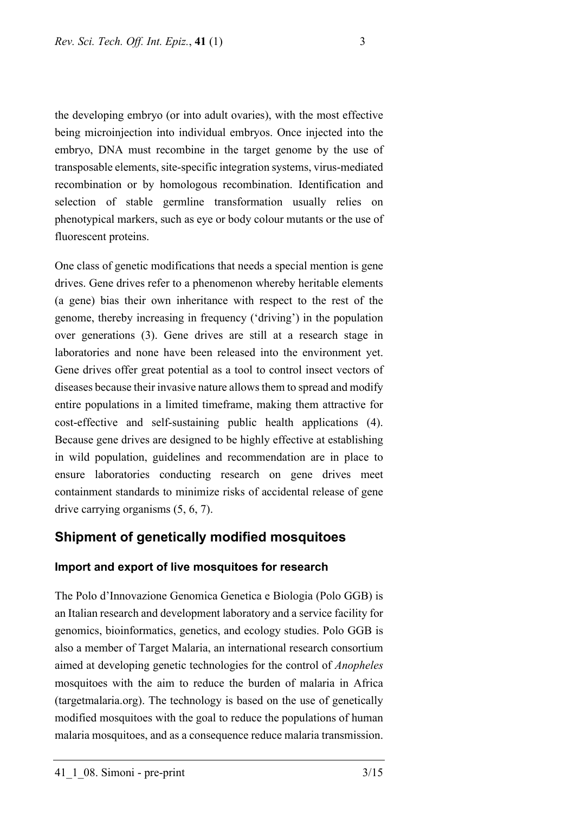the developing embryo (or into adult ovaries), with the most effective being microinjection into individual embryos. Once injected into the embryo, DNA must recombine in the target genome by the use of transposable elements, site-specific integration systems, virus-mediated recombination or by homologous recombination. Identification and selection of stable germline transformation usually relies on phenotypical markers, such as eye or body colour mutants or the use of fluorescent proteins.

One class of genetic modifications that needs a special mention is gene drives. Gene drives refer to a phenomenon whereby heritable elements (a gene) bias their own inheritance with respect to the rest of the genome, thereby increasing in frequency ('driving') in the population over generations (3). Gene drives are still at a research stage in laboratories and none have been released into the environment yet. Gene drives offer great potential as a tool to control insect vectors of diseases because their invasive nature allowsthem to spread and modify entire populations in a limited timeframe, making them attractive for cost-effective and self-sustaining public health applications (4). Because gene drives are designed to be highly effective at establishing in wild population, guidelines and recommendation are in place to ensure laboratories conducting research on gene drives meet containment standards to minimize risks of accidental release of gene drive carrying organisms (5, 6, 7).

### **Shipment of genetically modified mosquitoes**

#### **Import and export of live mosquitoes for research**

The Polo d'Innovazione Genomica Genetica e Biologia (Polo GGB) is an Italian research and development laboratory and a service facility for genomics, bioinformatics, genetics, and ecology studies. Polo GGB is also a member of Target Malaria, an international research consortium aimed at developing genetic technologies for the control of *Anopheles* mosquitoes with the aim to reduce the burden of malaria in Africa (targetmalaria.org). The technology is based on the use of genetically modified mosquitoes with the goal to reduce the populations of human malaria mosquitoes, and as a consequence reduce malaria transmission.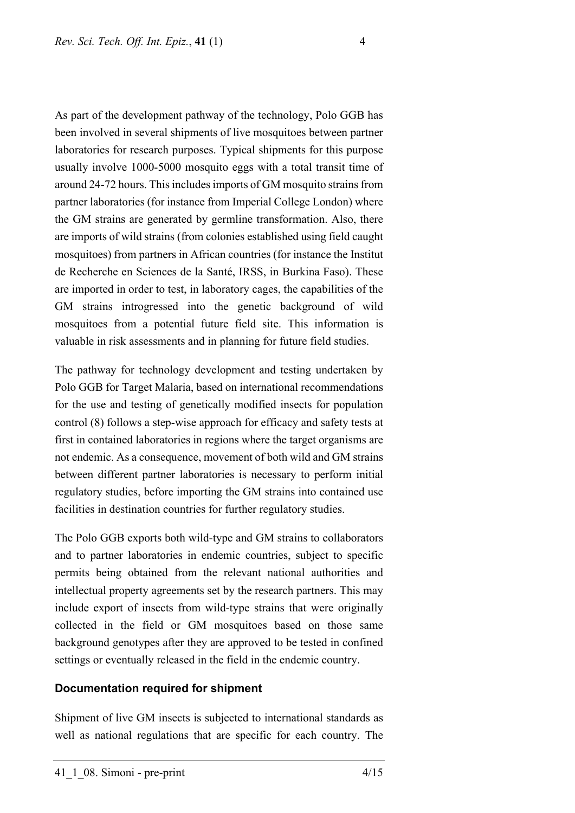As part of the development pathway of the technology, Polo GGB has been involved in several shipments of live mosquitoes between partner laboratories for research purposes. Typical shipments for this purpose usually involve 1000-5000 mosquito eggs with a total transit time of around 24-72 hours. This includes imports of GM mosquito strains from partner laboratories (for instance from Imperial College London) where the GM strains are generated by germline transformation. Also, there are imports of wild strains (from colonies established using field caught mosquitoes) from partners in African countries (for instance the Institut de Recherche en Sciences de la Santé, IRSS, in Burkina Faso). These are imported in order to test, in laboratory cages, the capabilities of the GM strains introgressed into the genetic background of wild mosquitoes from a potential future field site. This information is valuable in risk assessments and in planning for future field studies.

The pathway for technology development and testing undertaken by Polo GGB for Target Malaria, based on international recommendations for the use and testing of genetically modified insects for population control (8) follows a step-wise approach for efficacy and safety tests at first in contained laboratories in regions where the target organisms are not endemic. As a consequence, movement of both wild and GM strains between different partner laboratories is necessary to perform initial regulatory studies, before importing the GM strains into contained use facilities in destination countries for further regulatory studies.

The Polo GGB exports both wild-type and GM strains to collaborators and to partner laboratories in endemic countries, subject to specific permits being obtained from the relevant national authorities and intellectual property agreements set by the research partners. This may include export of insects from wild-type strains that were originally collected in the field or GM mosquitoes based on those same background genotypes after they are approved to be tested in confined settings or eventually released in the field in the endemic country.

#### **Documentation required for shipment**

Shipment of live GM insects is subjected to international standards as well as national regulations that are specific for each country. The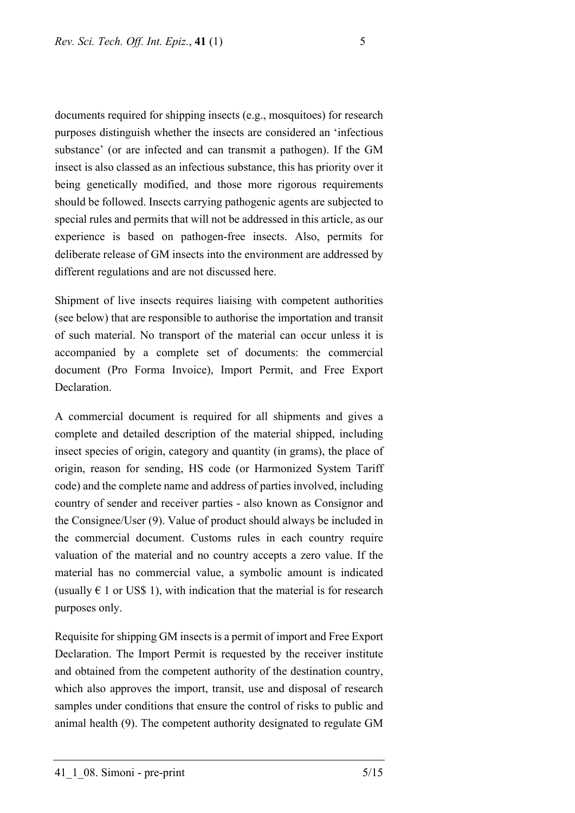documents required for shipping insects (e.g., mosquitoes) for research purposes distinguish whether the insects are considered an 'infectious substance' (or are infected and can transmit a pathogen). If the GM insect is also classed as an infectious substance, this has priority over it being genetically modified, and those more rigorous requirements should be followed. Insects carrying pathogenic agents are subjected to special rules and permits that will not be addressed in this article, as our experience is based on pathogen-free insects. Also, permits for deliberate release of GM insects into the environment are addressed by different regulations and are not discussed here.

Shipment of live insects requires liaising with competent authorities (see below) that are responsible to authorise the importation and transit of such material. No transport of the material can occur unless it is accompanied by a complete set of documents: the commercial document (Pro Forma Invoice), Import Permit, and Free Export **Declaration** 

A commercial document is required for all shipments and gives a complete and detailed description of the material shipped, including insect species of origin, category and quantity (in grams), the place of origin, reason for sending, HS code (or Harmonized System Tariff code) and the complete name and address of parties involved, including country of sender and receiver parties - also known as Consignor and the Consignee/User (9). Value of product should always be included in the commercial document. Customs rules in each country require valuation of the material and no country accepts a zero value. If the material has no commercial value, a symbolic amount is indicated (usually  $\epsilon$  1 or US\$ 1), with indication that the material is for research purposes only.

Requisite for shipping GM insects is a permit of import and Free Export Declaration. The Import Permit is requested by the receiver institute and obtained from the competent authority of the destination country, which also approves the import, transit, use and disposal of research samples under conditions that ensure the control of risks to public and animal health (9). The competent authority designated to regulate GM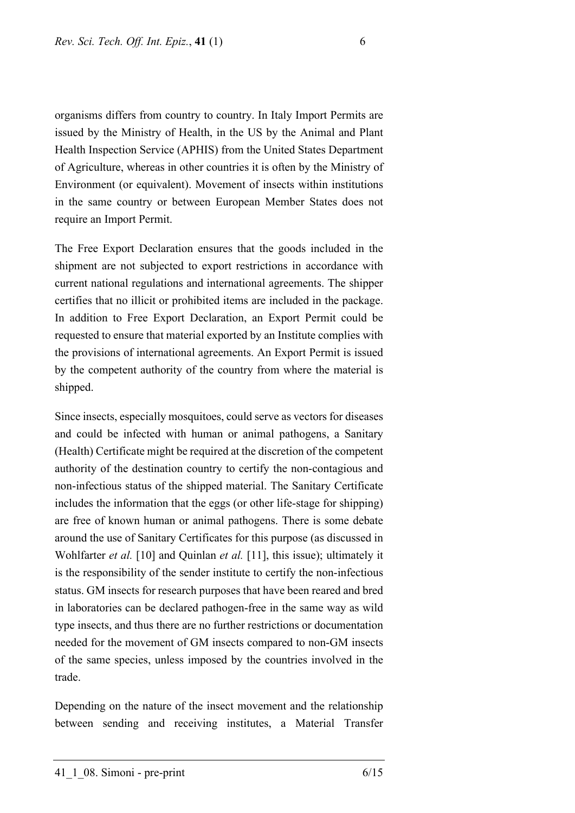organisms differs from country to country. In Italy Import Permits are issued by the Ministry of Health, in the US by the Animal and Plant Health Inspection Service (APHIS) from the United States Department of Agriculture, whereas in other countries it is often by the Ministry of Environment (or equivalent). Movement of insects within institutions in the same country or between European Member States does not require an Import Permit.

The Free Export Declaration ensures that the goods included in the shipment are not subjected to export restrictions in accordance with current national regulations and international agreements. The shipper certifies that no illicit or prohibited items are included in the package. In addition to Free Export Declaration, an Export Permit could be requested to ensure that material exported by an Institute complies with the provisions of international agreements. An Export Permit is issued by the competent authority of the country from where the material is shipped.

Since insects, especially mosquitoes, could serve as vectors for diseases and could be infected with human or animal pathogens, a Sanitary (Health) Certificate might be required at the discretion of the competent authority of the destination country to certify the non-contagious and non-infectious status of the shipped material. The Sanitary Certificate includes the information that the eggs (or other life-stage for shipping) are free of known human or animal pathogens. There is some debate around the use of Sanitary Certificates for this purpose (as discussed in Wohlfarter *et al.* [10] and Quinlan *et al.* [11], this issue); ultimately it is the responsibility of the sender institute to certify the non-infectious status. GM insects for research purposes that have been reared and bred in laboratories can be declared pathogen-free in the same way as wild type insects, and thus there are no further restrictions or documentation needed for the movement of GM insects compared to non-GM insects of the same species, unless imposed by the countries involved in the trade.

Depending on the nature of the insect movement and the relationship between sending and receiving institutes, a Material Transfer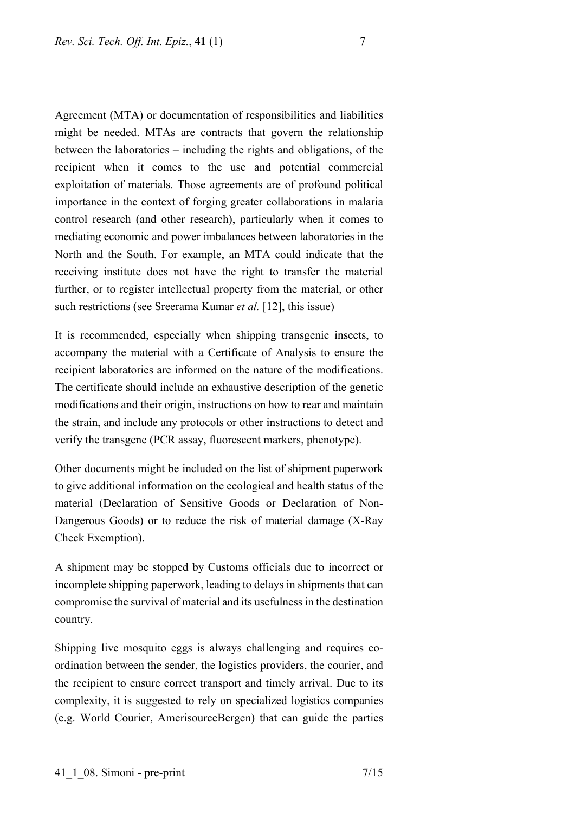Agreement (MTA) or documentation of responsibilities and liabilities might be needed. MTAs are contracts that govern the relationship between the laboratories – including the rights and obligations, of the recipient when it comes to the use and potential commercial exploitation of materials. Those agreements are of profound political importance in the context of forging greater collaborations in malaria control research (and other research), particularly when it comes to mediating economic and power imbalances between laboratories in the North and the South. For example, an MTA could indicate that the receiving institute does not have the right to transfer the material further, or to register intellectual property from the material, or other such restrictions (see Sreerama Kumar *et al.* [12], this issue)

It is recommended, especially when shipping transgenic insects, to accompany the material with a Certificate of Analysis to ensure the recipient laboratories are informed on the nature of the modifications. The certificate should include an exhaustive description of the genetic modifications and their origin, instructions on how to rear and maintain the strain, and include any protocols or other instructions to detect and verify the transgene (PCR assay, fluorescent markers, phenotype).

Other documents might be included on the list of shipment paperwork to give additional information on the ecological and health status of the material (Declaration of Sensitive Goods or Declaration of Non-Dangerous Goods) or to reduce the risk of material damage (X-Ray Check Exemption).

A shipment may be stopped by Customs officials due to incorrect or incomplete shipping paperwork, leading to delays in shipments that can compromise the survival of material and its usefulness in the destination country.

Shipping live mosquito eggs is always challenging and requires coordination between the sender, the logistics providers, the courier, and the recipient to ensure correct transport and timely arrival. Due to its complexity, it is suggested to rely on specialized logistics companies (e.g. World Courier, AmerisourceBergen) that can guide the parties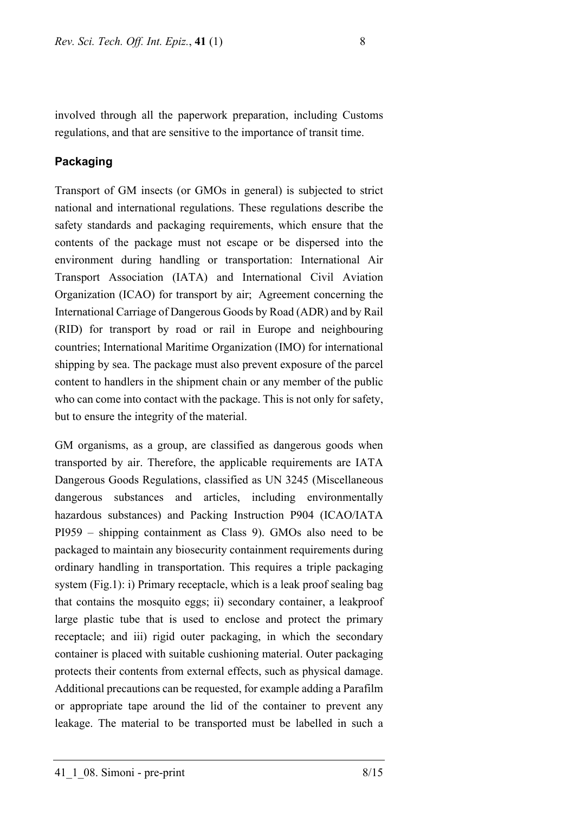involved through all the paperwork preparation, including Customs regulations, and that are sensitive to the importance of transit time.

#### **Packaging**

Transport of GM insects (or GMOs in general) is subjected to strict national and international regulations. These regulations describe the safety standards and packaging requirements, which ensure that the contents of the package must not escape or be dispersed into the environment during handling or transportation: International Air Transport Association (IATA) and International Civil Aviation Organization (ICAO) for transport by air; Agreement concerning the International Carriage of Dangerous Goods by Road (ADR) and by Rail (RID) for transport by road or rail in Europe and neighbouring countries; International Maritime Organization (IMO) for international shipping by sea. The package must also prevent exposure of the parcel content to handlers in the shipment chain or any member of the public who can come into contact with the package. This is not only for safety, but to ensure the integrity of the material.

GM organisms, as a group, are classified as dangerous goods when transported by air. Therefore, the applicable requirements are IATA Dangerous Goods Regulations, classified as UN 3245 (Miscellaneous dangerous substances and articles, including environmentally hazardous substances) and Packing Instruction P904 (ICAO/IATA PI959 – shipping containment as Class 9). GMOs also need to be packaged to maintain any biosecurity containment requirements during ordinary handling in transportation. This requires a triple packaging system (Fig.1): i) Primary receptacle, which is a leak proof sealing bag that contains the mosquito eggs; ii) secondary container, a leakproof large plastic tube that is used to enclose and protect the primary receptacle; and iii) rigid outer packaging, in which the secondary container is placed with suitable cushioning material. Outer packaging protects their contents from external effects, such as physical damage. Additional precautions can be requested, for example adding a Parafilm or appropriate tape around the lid of the container to prevent any leakage. The material to be transported must be labelled in such a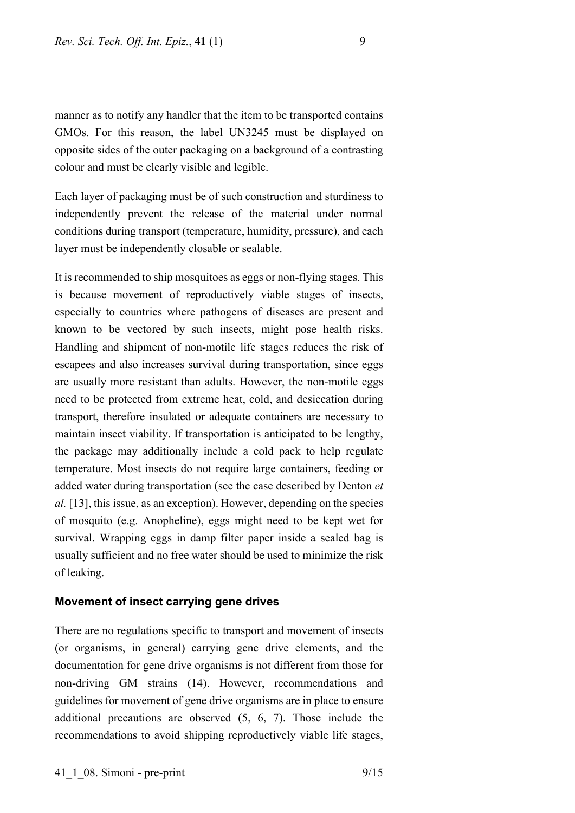manner as to notify any handler that the item to be transported contains GMOs. For this reason, the label UN3245 must be displayed on opposite sides of the outer packaging on a background of a contrasting colour and must be clearly visible and legible.

Each layer of packaging must be of such construction and sturdiness to independently prevent the release of the material under normal conditions during transport (temperature, humidity, pressure), and each layer must be independently closable or sealable.

It is recommended to ship mosquitoes as eggs or non-flying stages. This is because movement of reproductively viable stages of insects, especially to countries where pathogens of diseases are present and known to be vectored by such insects, might pose health risks. Handling and shipment of non-motile life stages reduces the risk of escapees and also increases survival during transportation, since eggs are usually more resistant than adults. However, the non-motile eggs need to be protected from extreme heat, cold, and desiccation during transport, therefore insulated or adequate containers are necessary to maintain insect viability. If transportation is anticipated to be lengthy, the package may additionally include a cold pack to help regulate temperature. Most insects do not require large containers, feeding or added water during transportation (see the case described by Denton *et al.* [13], this issue, as an exception). However, depending on the species of mosquito (e.g. Anopheline), eggs might need to be kept wet for survival. Wrapping eggs in damp filter paper inside a sealed bag is usually sufficient and no free water should be used to minimize the risk of leaking.

#### **Movement of insect carrying gene drives**

There are no regulations specific to transport and movement of insects (or organisms, in general) carrying gene drive elements, and the documentation for gene drive organisms is not different from those for non-driving GM strains (14). However, recommendations and guidelines for movement of gene drive organisms are in place to ensure additional precautions are observed (5, 6, 7). Those include the recommendations to avoid shipping reproductively viable life stages,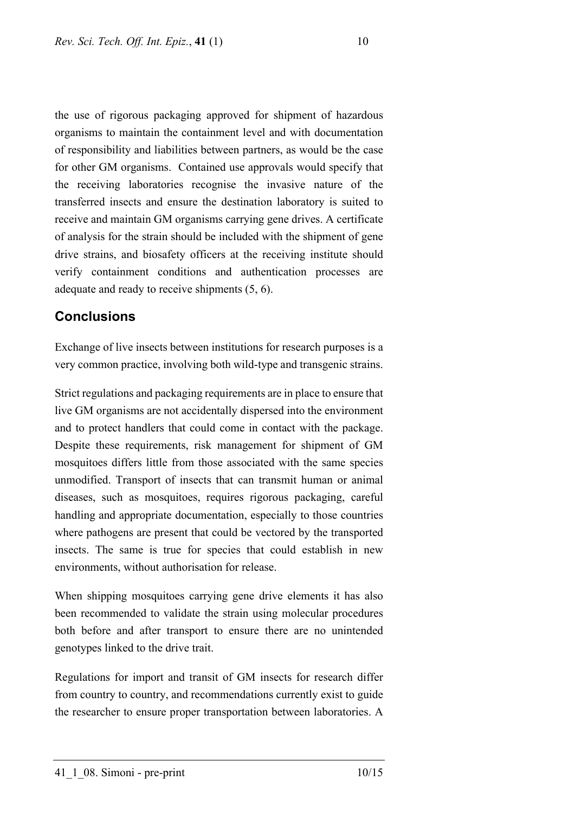the use of rigorous packaging approved for shipment of hazardous organisms to maintain the containment level and with documentation of responsibility and liabilities between partners, as would be the case for other GM organisms. Contained use approvals would specify that the receiving laboratories recognise the invasive nature of the transferred insects and ensure the destination laboratory is suited to receive and maintain GM organisms carrying gene drives. A certificate of analysis for the strain should be included with the shipment of gene drive strains, and biosafety officers at the receiving institute should verify containment conditions and authentication processes are adequate and ready to receive shipments (5, 6).

### **Conclusions**

Exchange of live insects between institutions for research purposes is a very common practice, involving both wild-type and transgenic strains.

Strict regulations and packaging requirements are in place to ensure that live GM organisms are not accidentally dispersed into the environment and to protect handlers that could come in contact with the package. Despite these requirements, risk management for shipment of GM mosquitoes differs little from those associated with the same species unmodified. Transport of insects that can transmit human or animal diseases, such as mosquitoes, requires rigorous packaging, careful handling and appropriate documentation, especially to those countries where pathogens are present that could be vectored by the transported insects. The same is true for species that could establish in new environments, without authorisation for release.

When shipping mosquitoes carrying gene drive elements it has also been recommended to validate the strain using molecular procedures both before and after transport to ensure there are no unintended genotypes linked to the drive trait.

Regulations for import and transit of GM insects for research differ from country to country, and recommendations currently exist to guide the researcher to ensure proper transportation between laboratories. A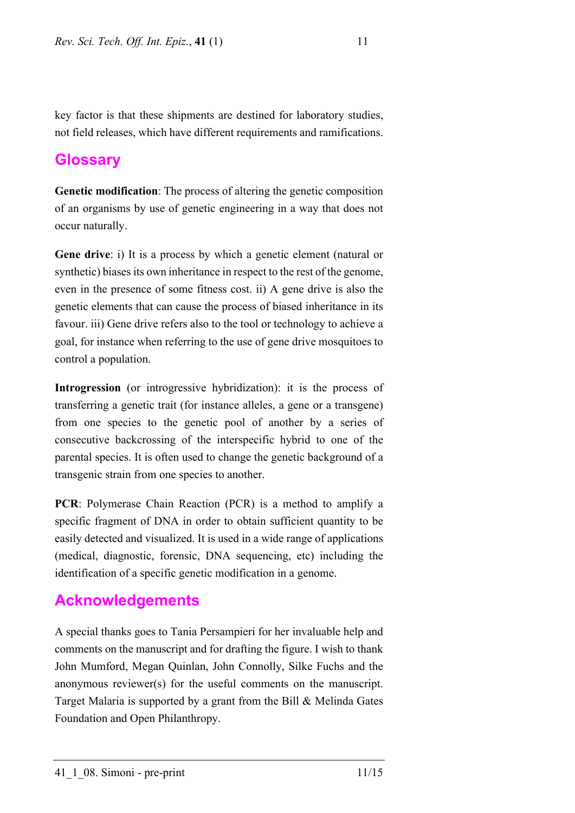key factor is that these shipments are destined for laboratory studies, not field releases, which have different requirements and ramifications.

## **Glossary**

**Genetic modification**: The process of altering the genetic composition of an organisms by use of genetic engineering in a way that does not occur naturally.

**Gene drive**: i) It is a process by which a genetic element (natural or synthetic) biases its own inheritance in respect to the rest of the genome, even in the presence of some fitness cost. ii) A gene drive is also the genetic elements that can cause the process of biased inheritance in its favour. iii) Gene drive refers also to the tool or technology to achieve a goal, for instance when referring to the use of gene drive mosquitoes to control a population.

**Introgression** (or introgressive hybridization): it is the process of transferring a genetic trait (for instance alleles, a gene or a transgene) from one species to the genetic pool of another by a series of consecutive backcrossing of the interspecific hybrid to one of the parental species. It is often used to change the genetic background of a transgenic strain from one species to another.

**PCR**: Polymerase Chain Reaction (PCR) is a method to amplify a specific fragment of DNA in order to obtain sufficient quantity to be easily detected and visualized. It is used in a wide range of applications (medical, diagnostic, forensic, DNA sequencing, etc) including the identification of a specific genetic modification in a genome.

# **Acknowledgements**

A special thanks goes to Tania Persampieri for her invaluable help and comments on the manuscript and for drafting the figure. I wish to thank John Mumford, Megan Quinlan, John Connolly, Silke Fuchs and the anonymous reviewer(s) for the useful comments on the manuscript. Target Malaria is supported by a grant from the Bill & Melinda Gates Foundation and Open Philanthropy.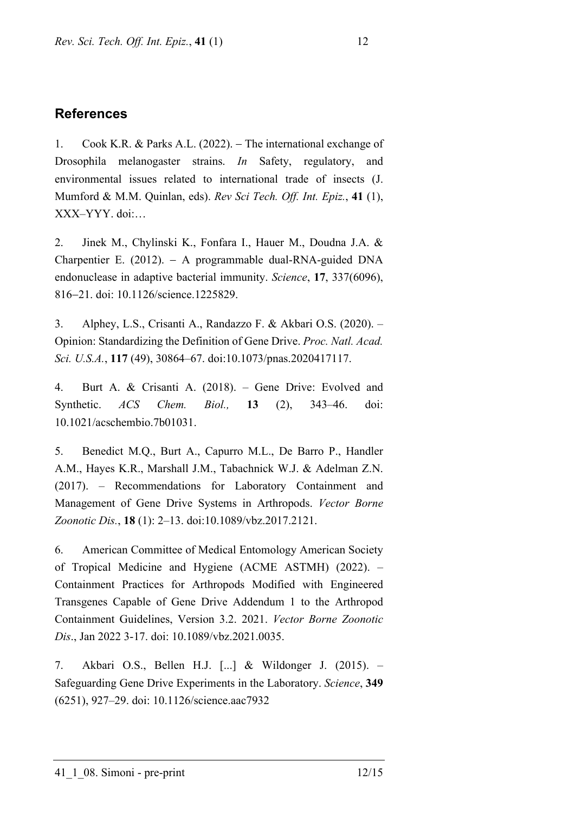## **References**

1. Cook K.R. & Parks A.L. (2022). − The international exchange of Drosophila melanogaster strains. *In* Safety, regulatory, and environmental issues related to international trade of insects (J. Mumford & M.M. Quinlan, eds). *Rev Sci Tech. Off. Int. Epiz.*, **41** (1), XXX–YYY. doi:…

2. Jinek M., Chylinski K., Fonfara I., Hauer M., Doudna J.A. & Charpentier E. (2012). − A programmable dual-RNA-guided DNA endonuclease in adaptive bacterial immunity. *Science*, **17**, 337(6096), 816−21. doi: 10.1126/science.1225829.

3. Alphey, L.S., Crisanti A., Randazzo F. & Akbari O.S. (2020). – Opinion: Standardizing the Definition of Gene Drive. *Proc. Natl. Acad. Sci. U.S.A.*, **117** (49), 30864–67. doi:10.1073/pnas.2020417117.

4. Burt A. & Crisanti A. (2018). – Gene Drive: Evolved and Synthetic. *ACS Chem. Biol.,* **13** (2), 343–46. doi: 10.1021/acschembio.7b01031.

5. Benedict M.Q., Burt A., Capurro M.L., De Barro P., Handler A.M., Hayes K.R., Marshall J.M., Tabachnick W.J. & Adelman Z.N. (2017). – Recommendations for Laboratory Containment and Management of Gene Drive Systems in Arthropods. *Vector Borne Zoonotic Dis.*, **18** (1): 2–13. doi:10.1089/vbz.2017.2121.

6. American Committee of Medical Entomology American Society of Tropical Medicine and Hygiene (ACME ASTMH) (2022). – Containment Practices for Arthropods Modified with Engineered Transgenes Capable of Gene Drive Addendum 1 to the Arthropod Containment Guidelines, Version 3.2. 2021. *Vector Borne Zoonotic Dis*., Jan 2022 3-17. doi: 10.1089/vbz.2021.0035.

7. Akbari O.S., Bellen H.J. [...] & Wildonger J. (2015). – Safeguarding Gene Drive Experiments in the Laboratory. *Science*, **349** (6251), 927–29. doi: 10.1126/science.aac7932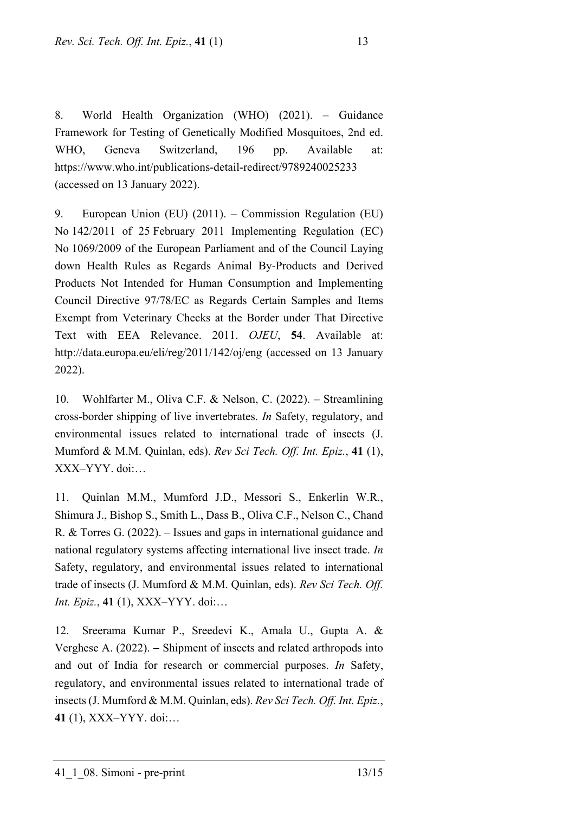8. World Health Organization (WHO) (2021). – Guidance Framework for Testing of Genetically Modified Mosquitoes, 2nd ed. WHO, Geneva Switzerland, 196 pp. Available at: https://www.who.int/publications-detail-redirect/9789240025233 (accessed on 13 January 2022).

9. European Union (EU) (2011). – Commission Regulation (EU) No 142/2011 of 25 February 2011 Implementing Regulation (EC) No 1069/2009 of the European Parliament and of the Council Laying down Health Rules as Regards Animal By-Products and Derived Products Not Intended for Human Consumption and Implementing Council Directive 97/78/EC as Regards Certain Samples and Items Exempt from Veterinary Checks at the Border under That Directive Text with EEA Relevance. 2011. *OJEU*, **54**. Available at: http://data.europa.eu/eli/reg/2011/142/oj/eng (accessed on 13 January 2022).

10. Wohlfarter M., Oliva C.F. & Nelson, C. (2022). – Streamlining cross-border shipping of live invertebrates. *In* Safety, regulatory, and environmental issues related to international trade of insects (J. Mumford & M.M. Quinlan, eds). *Rev Sci Tech. Off. Int. Epiz.*, **41** (1), XXX–YYY. doi:…

11. Quinlan M.M., Mumford J.D., Messori S., Enkerlin W.R., Shimura J., Bishop S., Smith L., Dass B., Oliva C.F., Nelson C., Chand R. & Torres G. (2022). – Issues and gaps in international guidance and national regulatory systems affecting international live insect trade. *In*  Safety, regulatory, and environmental issues related to international trade of insects (J. Mumford & M.M. Quinlan, eds). *Rev Sci Tech. Off. Int. Epiz.*, **41** (1), XXX–YYY. doi:…

12. Sreerama Kumar P., Sreedevi K., Amala U., Gupta A. & Verghese A. (2022). − Shipment of insects and related arthropods into and out of India for research or commercial purposes. *In* Safety, regulatory, and environmental issues related to international trade of insects (J. Mumford & M.M. Quinlan, eds). *Rev Sci Tech. Off. Int. Epiz.*, **41** (1), XXX–YYY. doi:…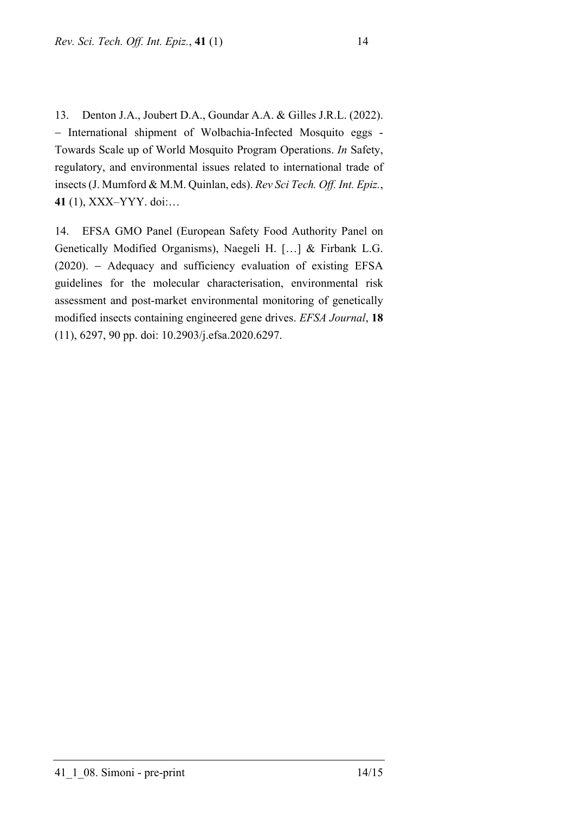13. Denton J.A., Joubert D.A., Goundar A.A. & Gilles J.R.L. (2022). − International shipment of Wolbachia-Infected Mosquito eggs - Towards Scale up of World Mosquito Program Operations. *In* Safety, regulatory, and environmental issues related to international trade of insects (J. Mumford & M.M. Quinlan, eds). *Rev Sci Tech. Off. Int. Epiz.*, **41** (1), XXX–YYY. doi:…

14. EFSA GMO Panel (European Safety Food Authority Panel on Genetically Modified Organisms), Naegeli H. […] & Firbank L.G. (2020). − Adequacy and sufficiency evaluation of existing EFSA guidelines for the molecular characterisation, environmental risk assessment and post-market environmental monitoring of genetically modified insects containing engineered gene drives. *EFSA Journal*, **18** (11), 6297, 90 pp. doi: 10.2903/j.efsa.2020.6297.